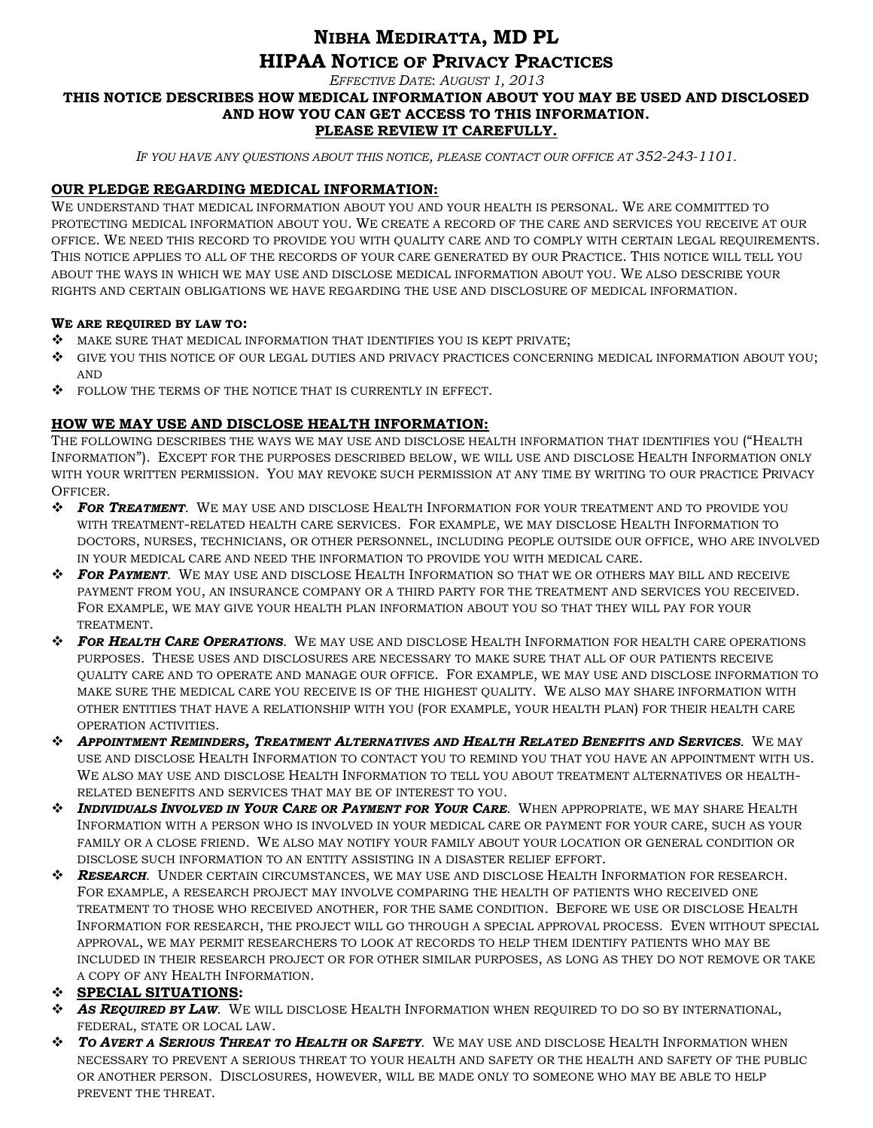# **NIBHA MEDIRATTA, MD PL HIPAA NOTICE OF PRIVACY PRACTICES**

*EFFECTIVE DATE*: *AUGUST 1, 2013*

#### **THIS NOTICE DESCRIBES HOW MEDICAL INFORMATION ABOUT YOU MAY BE USED AND DISCLOSED AND HOW YOU CAN GET ACCESS TO THIS INFORMATION. PLEASE REVIEW IT CAREFULLY.**

*IF YOU HAVE ANY QUESTIONS ABOUT THIS NOTICE, PLEASE CONTACT OUR OFFICE AT 352-243-1101.*

# **OUR PLEDGE REGARDING MEDICAL INFORMATION:**

WE UNDERSTAND THAT MEDICAL INFORMATION ABOUT YOU AND YOUR HEALTH IS PERSONAL. WE ARE COMMITTED TO PROTECTING MEDICAL INFORMATION ABOUT YOU. WE CREATE A RECORD OF THE CARE AND SERVICES YOU RECEIVE AT OUR OFFICE. WE NEED THIS RECORD TO PROVIDE YOU WITH QUALITY CARE AND TO COMPLY WITH CERTAIN LEGAL REQUIREMENTS. THIS NOTICE APPLIES TO ALL OF THE RECORDS OF YOUR CARE GENERATED BY OUR PRACTICE. THIS NOTICE WILL TELL YOU ABOUT THE WAYS IN WHICH WE MAY USE AND DISCLOSE MEDICAL INFORMATION ABOUT YOU. WE ALSO DESCRIBE YOUR RIGHTS AND CERTAIN OBLIGATIONS WE HAVE REGARDING THE USE AND DISCLOSURE OF MEDICAL INFORMATION.

#### **WE ARE REQUIRED BY LAW TO:**

- MAKE SURE THAT MEDICAL INFORMATION THAT IDENTIFIES YOU IS KEPT PRIVATE;
- GIVE YOU THIS NOTICE OF OUR LEGAL DUTIES AND PRIVACY PRACTICES CONCERNING MEDICAL INFORMATION ABOUT YOU; AND
- $\clubsuit$  FOLLOW THE TERMS OF THE NOTICE THAT IS CURRENTLY IN EFFECT.

# **HOW WE MAY USE AND DISCLOSE HEALTH INFORMATION:**

THE FOLLOWING DESCRIBES THE WAYS WE MAY USE AND DISCLOSE HEALTH INFORMATION THAT IDENTIFIES YOU ("HEALTH INFORMATION"). EXCEPT FOR THE PURPOSES DESCRIBED BELOW, WE WILL USE AND DISCLOSE HEALTH INFORMATION ONLY WITH YOUR WRITTEN PERMISSION. YOU MAY REVOKE SUCH PERMISSION AT ANY TIME BY WRITING TO OUR PRACTICE PRIVACY OFFICER.

- *FOR TREATMENT*. WE MAY USE AND DISCLOSE HEALTH INFORMATION FOR YOUR TREATMENT AND TO PROVIDE YOU WITH TREATMENT-RELATED HEALTH CARE SERVICES. FOR EXAMPLE, WE MAY DISCLOSE HEALTH INFORMATION TO DOCTORS, NURSES, TECHNICIANS, OR OTHER PERSONNEL, INCLUDING PEOPLE OUTSIDE OUR OFFICE, WHO ARE INVOLVED IN YOUR MEDICAL CARE AND NEED THE INFORMATION TO PROVIDE YOU WITH MEDICAL CARE.
- *FOR PAYMENT*. WE MAY USE AND DISCLOSE HEALTH INFORMATION SO THAT WE OR OTHERS MAY BILL AND RECEIVE PAYMENT FROM YOU, AN INSURANCE COMPANY OR A THIRD PARTY FOR THE TREATMENT AND SERVICES YOU RECEIVED. FOR EXAMPLE, WE MAY GIVE YOUR HEALTH PLAN INFORMATION ABOUT YOU SO THAT THEY WILL PAY FOR YOUR TREATMENT.
- *FOR HEALTH CARE OPERATIONS*. WE MAY USE AND DISCLOSE HEALTH INFORMATION FOR HEALTH CARE OPERATIONS PURPOSES. THESE USES AND DISCLOSURES ARE NECESSARY TO MAKE SURE THAT ALL OF OUR PATIENTS RECEIVE QUALITY CARE AND TO OPERATE AND MANAGE OUR OFFICE. FOR EXAMPLE, WE MAY USE AND DISCLOSE INFORMATION TO MAKE SURE THE MEDICAL CARE YOU RECEIVE IS OF THE HIGHEST QUALITY. WE ALSO MAY SHARE INFORMATION WITH OTHER ENTITIES THAT HAVE A RELATIONSHIP WITH YOU (FOR EXAMPLE, YOUR HEALTH PLAN) FOR THEIR HEALTH CARE OPERATION ACTIVITIES.
- *APPOINTMENT REMINDERS, TREATMENT ALTERNATIVES AND HEALTH RELATED BENEFITS AND SERVICES*. WE MAY USE AND DISCLOSE HEALTH INFORMATION TO CONTACT YOU TO REMIND YOU THAT YOU HAVE AN APPOINTMENT WITH US. WE ALSO MAY USE AND DISCLOSE HEALTH INFORMATION TO TELL YOU ABOUT TREATMENT ALTERNATIVES OR HEALTH-RELATED BENEFITS AND SERVICES THAT MAY BE OF INTEREST TO YOU.
- *INDIVIDUALS INVOLVED IN YOUR CARE OR PAYMENT FOR YOUR CARE*. WHEN APPROPRIATE, WE MAY SHARE HEALTH INFORMATION WITH A PERSON WHO IS INVOLVED IN YOUR MEDICAL CARE OR PAYMENT FOR YOUR CARE, SUCH AS YOUR FAMILY OR A CLOSE FRIEND. WE ALSO MAY NOTIFY YOUR FAMILY ABOUT YOUR LOCATION OR GENERAL CONDITION OR DISCLOSE SUCH INFORMATION TO AN ENTITY ASSISTING IN A DISASTER RELIEF EFFORT.
- *RESEARCH*. UNDER CERTAIN CIRCUMSTANCES, WE MAY USE AND DISCLOSE HEALTH INFORMATION FOR RESEARCH. FOR EXAMPLE, A RESEARCH PROJECT MAY INVOLVE COMPARING THE HEALTH OF PATIENTS WHO RECEIVED ONE TREATMENT TO THOSE WHO RECEIVED ANOTHER, FOR THE SAME CONDITION. BEFORE WE USE OR DISCLOSE HEALTH INFORMATION FOR RESEARCH, THE PROJECT WILL GO THROUGH A SPECIAL APPROVAL PROCESS. EVEN WITHOUT SPECIAL APPROVAL, WE MAY PERMIT RESEARCHERS TO LOOK AT RECORDS TO HELP THEM IDENTIFY PATIENTS WHO MAY BE INCLUDED IN THEIR RESEARCH PROJECT OR FOR OTHER SIMILAR PURPOSES, AS LONG AS THEY DO NOT REMOVE OR TAKE A COPY OF ANY HEALTH INFORMATION.

# **SPECIAL SITUATIONS:**

- *AS REQUIRED BY LAW*. WE WILL DISCLOSE HEALTH INFORMATION WHEN REQUIRED TO DO SO BY INTERNATIONAL, FEDERAL, STATE OR LOCAL LAW.
- *TO AVERT A SERIOUS THREAT TO HEALTH OR SAFETY*. WE MAY USE AND DISCLOSE HEALTH INFORMATION WHEN NECESSARY TO PREVENT A SERIOUS THREAT TO YOUR HEALTH AND SAFETY OR THE HEALTH AND SAFETY OF THE PUBLIC OR ANOTHER PERSON. DISCLOSURES, HOWEVER, WILL BE MADE ONLY TO SOMEONE WHO MAY BE ABLE TO HELP PREVENT THE THREAT.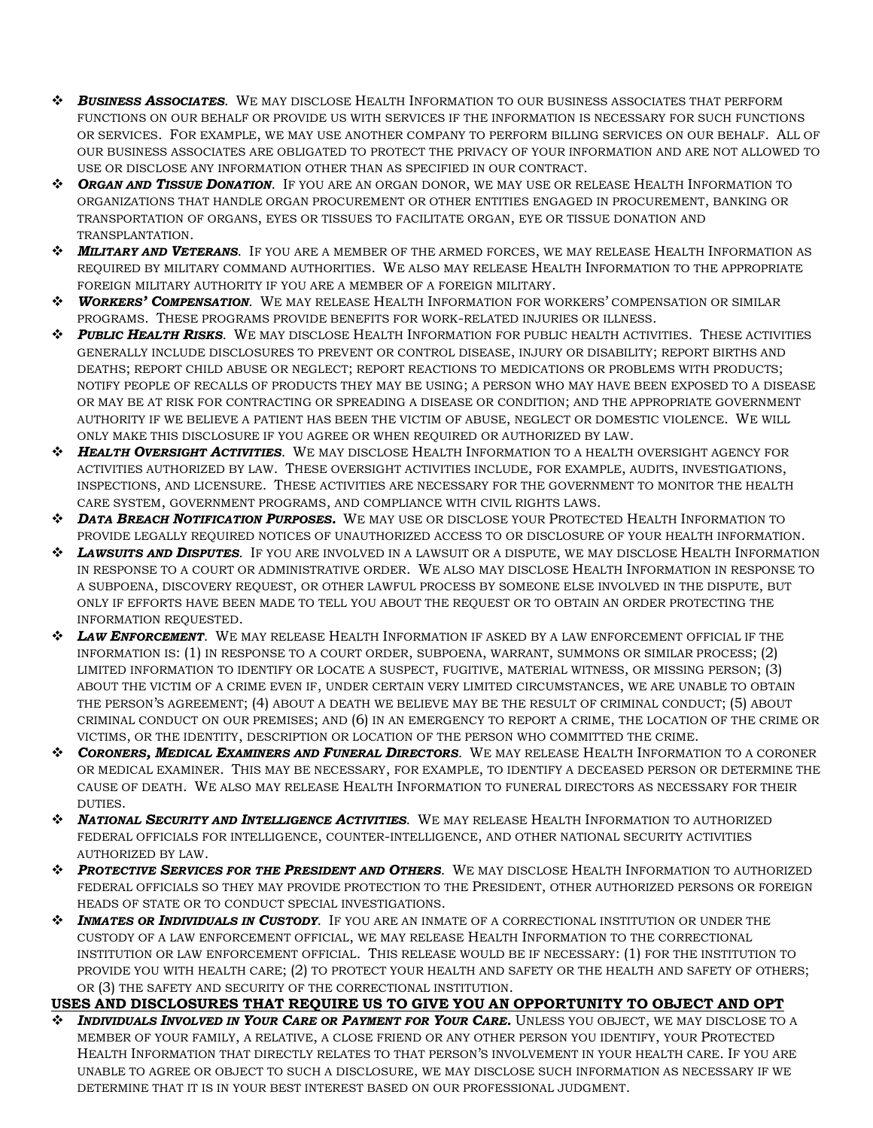- *BUSINESS ASSOCIATES*. WE MAY DISCLOSE HEALTH INFORMATION TO OUR BUSINESS ASSOCIATES THAT PERFORM FUNCTIONS ON OUR BEHALF OR PROVIDE US WITH SERVICES IF THE INFORMATION IS NECESSARY FOR SUCH FUNCTIONS OR SERVICES. FOR EXAMPLE, WE MAY USE ANOTHER COMPANY TO PERFORM BILLING SERVICES ON OUR BEHALF. ALL OF OUR BUSINESS ASSOCIATES ARE OBLIGATED TO PROTECT THE PRIVACY OF YOUR INFORMATION AND ARE NOT ALLOWED TO USE OR DISCLOSE ANY INFORMATION OTHER THAN AS SPECIFIED IN OUR CONTRACT.
- *ORGAN AND TISSUE DONATION*. IF YOU ARE AN ORGAN DONOR, WE MAY USE OR RELEASE HEALTH INFORMATION TO ORGANIZATIONS THAT HANDLE ORGAN PROCUREMENT OR OTHER ENTITIES ENGAGED IN PROCUREMENT, BANKING OR TRANSPORTATION OF ORGANS, EYES OR TISSUES TO FACILITATE ORGAN, EYE OR TISSUE DONATION AND TRANSPLANTATION.
- *MILITARY AND VETERANS*. IF YOU ARE A MEMBER OF THE ARMED FORCES, WE MAY RELEASE HEALTH INFORMATION AS REQUIRED BY MILITARY COMMAND AUTHORITIES. WE ALSO MAY RELEASE HEALTH INFORMATION TO THE APPROPRIATE FOREIGN MILITARY AUTHORITY IF YOU ARE A MEMBER OF A FOREIGN MILITARY.
- *WORKERS' COMPENSATION*. WE MAY RELEASE HEALTH INFORMATION FOR WORKERS' COMPENSATION OR SIMILAR PROGRAMS. THESE PROGRAMS PROVIDE BENEFITS FOR WORK-RELATED INJURIES OR ILLNESS.
- *PUBLIC HEALTH RISKS*. WE MAY DISCLOSE HEALTH INFORMATION FOR PUBLIC HEALTH ACTIVITIES. THESE ACTIVITIES GENERALLY INCLUDE DISCLOSURES TO PREVENT OR CONTROL DISEASE, INJURY OR DISABILITY; REPORT BIRTHS AND DEATHS; REPORT CHILD ABUSE OR NEGLECT; REPORT REACTIONS TO MEDICATIONS OR PROBLEMS WITH PRODUCTS; NOTIFY PEOPLE OF RECALLS OF PRODUCTS THEY MAY BE USING; A PERSON WHO MAY HAVE BEEN EXPOSED TO A DISEASE OR MAY BE AT RISK FOR CONTRACTING OR SPREADING A DISEASE OR CONDITION; AND THE APPROPRIATE GOVERNMENT AUTHORITY IF WE BELIEVE A PATIENT HAS BEEN THE VICTIM OF ABUSE, NEGLECT OR DOMESTIC VIOLENCE. WE WILL ONLY MAKE THIS DISCLOSURE IF YOU AGREE OR WHEN REQUIRED OR AUTHORIZED BY LAW.
- *HEALTH OVERSIGHT ACTIVITIES*. WE MAY DISCLOSE HEALTH INFORMATION TO A HEALTH OVERSIGHT AGENCY FOR ACTIVITIES AUTHORIZED BY LAW. THESE OVERSIGHT ACTIVITIES INCLUDE, FOR EXAMPLE, AUDITS, INVESTIGATIONS, INSPECTIONS, AND LICENSURE. THESE ACTIVITIES ARE NECESSARY FOR THE GOVERNMENT TO MONITOR THE HEALTH CARE SYSTEM, GOVERNMENT PROGRAMS, AND COMPLIANCE WITH CIVIL RIGHTS LAWS.
- *DATA BREACH NOTIFICATION PURPOSES.* WE MAY USE OR DISCLOSE YOUR PROTECTED HEALTH INFORMATION TO PROVIDE LEGALLY REQUIRED NOTICES OF UNAUTHORIZED ACCESS TO OR DISCLOSURE OF YOUR HEALTH INFORMATION.
- *LAWSUITS AND DISPUTES*. IF YOU ARE INVOLVED IN A LAWSUIT OR A DISPUTE, WE MAY DISCLOSE HEALTH INFORMATION IN RESPONSE TO A COURT OR ADMINISTRATIVE ORDER. WE ALSO MAY DISCLOSE HEALTH INFORMATION IN RESPONSE TO A SUBPOENA, DISCOVERY REQUEST, OR OTHER LAWFUL PROCESS BY SOMEONE ELSE INVOLVED IN THE DISPUTE, BUT ONLY IF EFFORTS HAVE BEEN MADE TO TELL YOU ABOUT THE REQUEST OR TO OBTAIN AN ORDER PROTECTING THE INFORMATION REQUESTED.
- *LAW ENFORCEMENT*. WE MAY RELEASE HEALTH INFORMATION IF ASKED BY A LAW ENFORCEMENT OFFICIAL IF THE INFORMATION IS: (1) IN RESPONSE TO A COURT ORDER, SUBPOENA, WARRANT, SUMMONS OR SIMILAR PROCESS; (2) LIMITED INFORMATION TO IDENTIFY OR LOCATE A SUSPECT, FUGITIVE, MATERIAL WITNESS, OR MISSING PERSON; (3) ABOUT THE VICTIM OF A CRIME EVEN IF, UNDER CERTAIN VERY LIMITED CIRCUMSTANCES, WE ARE UNABLE TO OBTAIN THE PERSON'S AGREEMENT; (4) ABOUT A DEATH WE BELIEVE MAY BE THE RESULT OF CRIMINAL CONDUCT; (5) ABOUT CRIMINAL CONDUCT ON OUR PREMISES; AND (6) IN AN EMERGENCY TO REPORT A CRIME, THE LOCATION OF THE CRIME OR VICTIMS, OR THE IDENTITY, DESCRIPTION OR LOCATION OF THE PERSON WHO COMMITTED THE CRIME.
- *CORONERS, MEDICAL EXAMINERS AND FUNERAL DIRECTORS*. WE MAY RELEASE HEALTH INFORMATION TO A CORONER OR MEDICAL EXAMINER. THIS MAY BE NECESSARY, FOR EXAMPLE, TO IDENTIFY A DECEASED PERSON OR DETERMINE THE CAUSE OF DEATH. WE ALSO MAY RELEASE HEALTH INFORMATION TO FUNERAL DIRECTORS AS NECESSARY FOR THEIR DUTIES.
- *NATIONAL SECURITY AND INTELLIGENCE ACTIVITIES*. WE MAY RELEASE HEALTH INFORMATION TO AUTHORIZED FEDERAL OFFICIALS FOR INTELLIGENCE, COUNTER-INTELLIGENCE, AND OTHER NATIONAL SECURITY ACTIVITIES AUTHORIZED BY LAW.
- *PROTECTIVE SERVICES FOR THE PRESIDENT AND OTHERS*. WE MAY DISCLOSE HEALTH INFORMATION TO AUTHORIZED FEDERAL OFFICIALS SO THEY MAY PROVIDE PROTECTION TO THE PRESIDENT, OTHER AUTHORIZED PERSONS OR FOREIGN HEADS OF STATE OR TO CONDUCT SPECIAL INVESTIGATIONS.
- *INMATES OR INDIVIDUALS IN CUSTODY*. IF YOU ARE AN INMATE OF A CORRECTIONAL INSTITUTION OR UNDER THE CUSTODY OF A LAW ENFORCEMENT OFFICIAL, WE MAY RELEASE HEALTH INFORMATION TO THE CORRECTIONAL INSTITUTION OR LAW ENFORCEMENT OFFICIAL. THIS RELEASE WOULD BE IF NECESSARY: (1) FOR THE INSTITUTION TO PROVIDE YOU WITH HEALTH CARE; (2) TO PROTECT YOUR HEALTH AND SAFETY OR THE HEALTH AND SAFETY OF OTHERS; OR (3) THE SAFETY AND SECURITY OF THE CORRECTIONAL INSTITUTION.

# **USES AND DISCLOSURES THAT REQUIRE US TO GIVE YOU AN OPPORTUNITY TO OBJECT AND OPT**

 *INDIVIDUALS INVOLVED IN YOUR CARE OR PAYMENT FOR YOUR CARE.* UNLESS YOU OBJECT, WE MAY DISCLOSE TO A MEMBER OF YOUR FAMILY, A RELATIVE, A CLOSE FRIEND OR ANY OTHER PERSON YOU IDENTIFY, YOUR PROTECTED HEALTH INFORMATION THAT DIRECTLY RELATES TO THAT PERSON'S INVOLVEMENT IN YOUR HEALTH CARE. IF YOU ARE UNABLE TO AGREE OR OBJECT TO SUCH A DISCLOSURE, WE MAY DISCLOSE SUCH INFORMATION AS NECESSARY IF WE DETERMINE THAT IT IS IN YOUR BEST INTEREST BASED ON OUR PROFESSIONAL JUDGMENT.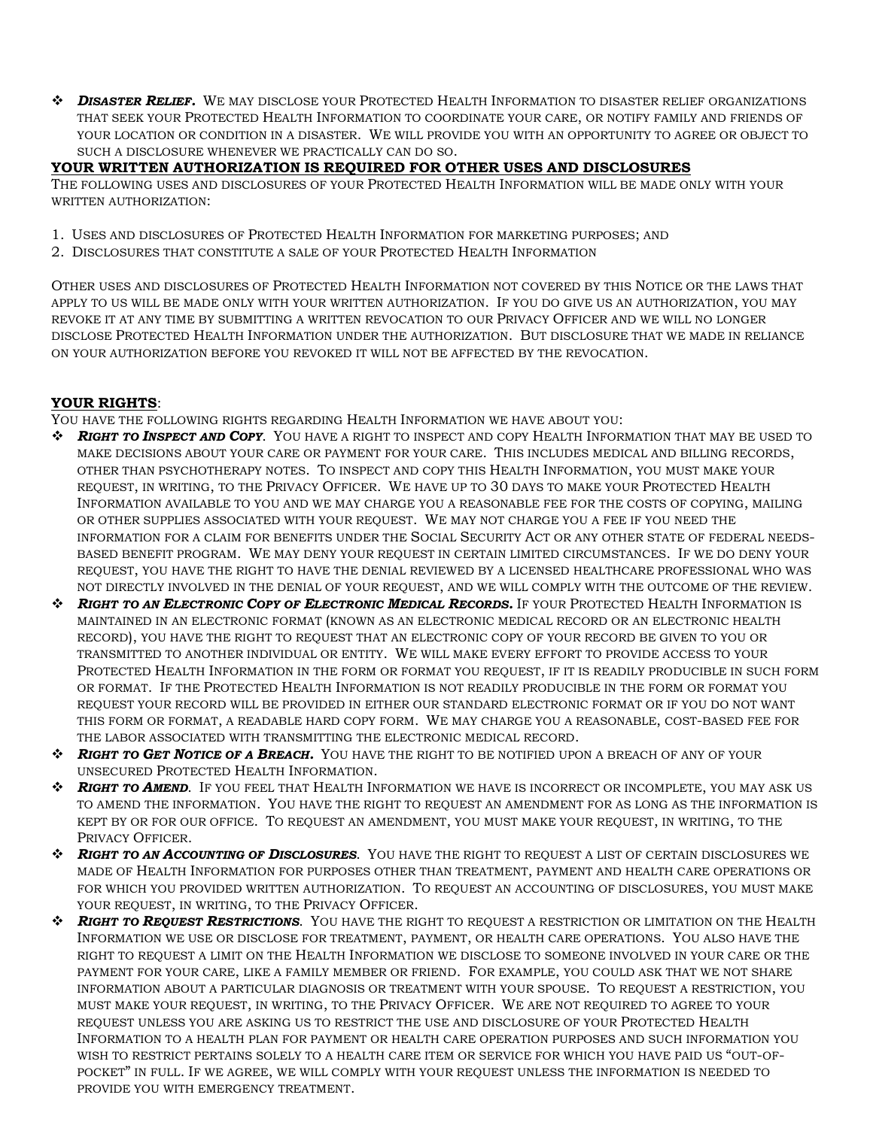*DISASTER RELIEF.* WE MAY DISCLOSE YOUR PROTECTED HEALTH INFORMATION TO DISASTER RELIEF ORGANIZATIONS THAT SEEK YOUR PROTECTED HEALTH INFORMATION TO COORDINATE YOUR CARE, OR NOTIFY FAMILY AND FRIENDS OF YOUR LOCATION OR CONDITION IN A DISASTER. WE WILL PROVIDE YOU WITH AN OPPORTUNITY TO AGREE OR OBJECT TO SUCH A DISCLOSURE WHENEVER WE PRACTICALLY CAN DO SO.

# **YOUR WRITTEN AUTHORIZATION IS REQUIRED FOR OTHER USES AND DISCLOSURES**

THE FOLLOWING USES AND DISCLOSURES OF YOUR PROTECTED HEALTH INFORMATION WILL BE MADE ONLY WITH YOUR WRITTEN AUTHORIZATION:

- 1. USES AND DISCLOSURES OF PROTECTED HEALTH INFORMATION FOR MARKETING PURPOSES; AND
- 2. DISCLOSURES THAT CONSTITUTE A SALE OF YOUR PROTECTED HEALTH INFORMATION

OTHER USES AND DISCLOSURES OF PROTECTED HEALTH INFORMATION NOT COVERED BY THIS NOTICE OR THE LAWS THAT APPLY TO US WILL BE MADE ONLY WITH YOUR WRITTEN AUTHORIZATION. IF YOU DO GIVE US AN AUTHORIZATION, YOU MAY REVOKE IT AT ANY TIME BY SUBMITTING A WRITTEN REVOCATION TO OUR PRIVACY OFFICER AND WE WILL NO LONGER DISCLOSE PROTECTED HEALTH INFORMATION UNDER THE AUTHORIZATION. BUT DISCLOSURE THAT WE MADE IN RELIANCE ON YOUR AUTHORIZATION BEFORE YOU REVOKED IT WILL NOT BE AFFECTED BY THE REVOCATION.

# **YOUR RIGHTS**:

YOU HAVE THE FOLLOWING RIGHTS REGARDING HEALTH INFORMATION WE HAVE ABOUT YOU:

- *RIGHT TO INSPECT AND COPY*. YOU HAVE A RIGHT TO INSPECT AND COPY HEALTH INFORMATION THAT MAY BE USED TO MAKE DECISIONS ABOUT YOUR CARE OR PAYMENT FOR YOUR CARE. THIS INCLUDES MEDICAL AND BILLING RECORDS, OTHER THAN PSYCHOTHERAPY NOTES. TO INSPECT AND COPY THIS HEALTH INFORMATION, YOU MUST MAKE YOUR REQUEST, IN WRITING, TO THE PRIVACY OFFICER. WE HAVE UP TO 30 DAYS TO MAKE YOUR PROTECTED HEALTH INFORMATION AVAILABLE TO YOU AND WE MAY CHARGE YOU A REASONABLE FEE FOR THE COSTS OF COPYING, MAILING OR OTHER SUPPLIES ASSOCIATED WITH YOUR REQUEST. WE MAY NOT CHARGE YOU A FEE IF YOU NEED THE INFORMATION FOR A CLAIM FOR BENEFITS UNDER THE SOCIAL SECURITY ACT OR ANY OTHER STATE OF FEDERAL NEEDS-BASED BENEFIT PROGRAM. WE MAY DENY YOUR REQUEST IN CERTAIN LIMITED CIRCUMSTANCES. IF WE DO DENY YOUR REQUEST, YOU HAVE THE RIGHT TO HAVE THE DENIAL REVIEWED BY A LICENSED HEALTHCARE PROFESSIONAL WHO WAS NOT DIRECTLY INVOLVED IN THE DENIAL OF YOUR REQUEST, AND WE WILL COMPLY WITH THE OUTCOME OF THE REVIEW.
- *RIGHT TO AN ELECTRONIC COPY OF ELECTRONIC MEDICAL RECORDS.* IF YOUR PROTECTED HEALTH INFORMATION IS MAINTAINED IN AN ELECTRONIC FORMAT (KNOWN AS AN ELECTRONIC MEDICAL RECORD OR AN ELECTRONIC HEALTH RECORD), YOU HAVE THE RIGHT TO REQUEST THAT AN ELECTRONIC COPY OF YOUR RECORD BE GIVEN TO YOU OR TRANSMITTED TO ANOTHER INDIVIDUAL OR ENTITY. WE WILL MAKE EVERY EFFORT TO PROVIDE ACCESS TO YOUR PROTECTED HEALTH INFORMATION IN THE FORM OR FORMAT YOU REQUEST, IF IT IS READILY PRODUCIBLE IN SUCH FORM OR FORMAT. IF THE PROTECTED HEALTH INFORMATION IS NOT READILY PRODUCIBLE IN THE FORM OR FORMAT YOU REQUEST YOUR RECORD WILL BE PROVIDED IN EITHER OUR STANDARD ELECTRONIC FORMAT OR IF YOU DO NOT WANT THIS FORM OR FORMAT, A READABLE HARD COPY FORM. WE MAY CHARGE YOU A REASONABLE, COST-BASED FEE FOR THE LABOR ASSOCIATED WITH TRANSMITTING THE ELECTRONIC MEDICAL RECORD.
- *RIGHT TO GET NOTICE OF A BREACH.* YOU HAVE THE RIGHT TO BE NOTIFIED UPON A BREACH OF ANY OF YOUR UNSECURED PROTECTED HEALTH INFORMATION.
- **\*** RIGHT TO **AMEND**. IF YOU FEEL THAT HEALTH INFORMATION WE HAVE IS INCORRECT OR INCOMPLETE, YOU MAY ASK US TO AMEND THE INFORMATION. YOU HAVE THE RIGHT TO REQUEST AN AMENDMENT FOR AS LONG AS THE INFORMATION IS KEPT BY OR FOR OUR OFFICE. TO REQUEST AN AMENDMENT, YOU MUST MAKE YOUR REQUEST, IN WRITING, TO THE PRIVACY OFFICER.
- *RIGHT TO AN ACCOUNTING OF DISCLOSURES*. YOU HAVE THE RIGHT TO REQUEST A LIST OF CERTAIN DISCLOSURES WE MADE OF HEALTH INFORMATION FOR PURPOSES OTHER THAN TREATMENT, PAYMENT AND HEALTH CARE OPERATIONS OR FOR WHICH YOU PROVIDED WRITTEN AUTHORIZATION. TO REQUEST AN ACCOUNTING OF DISCLOSURES, YOU MUST MAKE YOUR REQUEST, IN WRITING, TO THE PRIVACY OFFICER.
- *RIGHT TO REQUEST RESTRICTIONS*. YOU HAVE THE RIGHT TO REQUEST A RESTRICTION OR LIMITATION ON THE HEALTH INFORMATION WE USE OR DISCLOSE FOR TREATMENT, PAYMENT, OR HEALTH CARE OPERATIONS. YOU ALSO HAVE THE RIGHT TO REQUEST A LIMIT ON THE HEALTH INFORMATION WE DISCLOSE TO SOMEONE INVOLVED IN YOUR CARE OR THE PAYMENT FOR YOUR CARE, LIKE A FAMILY MEMBER OR FRIEND. FOR EXAMPLE, YOU COULD ASK THAT WE NOT SHARE INFORMATION ABOUT A PARTICULAR DIAGNOSIS OR TREATMENT WITH YOUR SPOUSE. TO REQUEST A RESTRICTION, YOU MUST MAKE YOUR REQUEST, IN WRITING, TO THE PRIVACY OFFICER. WE ARE NOT REQUIRED TO AGREE TO YOUR REQUEST UNLESS YOU ARE ASKING US TO RESTRICT THE USE AND DISCLOSURE OF YOUR PROTECTED HEALTH INFORMATION TO A HEALTH PLAN FOR PAYMENT OR HEALTH CARE OPERATION PURPOSES AND SUCH INFORMATION YOU WISH TO RESTRICT PERTAINS SOLELY TO A HEALTH CARE ITEM OR SERVICE FOR WHICH YOU HAVE PAID US "OUT-OF-POCKET" IN FULL. IF WE AGREE, WE WILL COMPLY WITH YOUR REQUEST UNLESS THE INFORMATION IS NEEDED TO PROVIDE YOU WITH EMERGENCY TREATMENT.